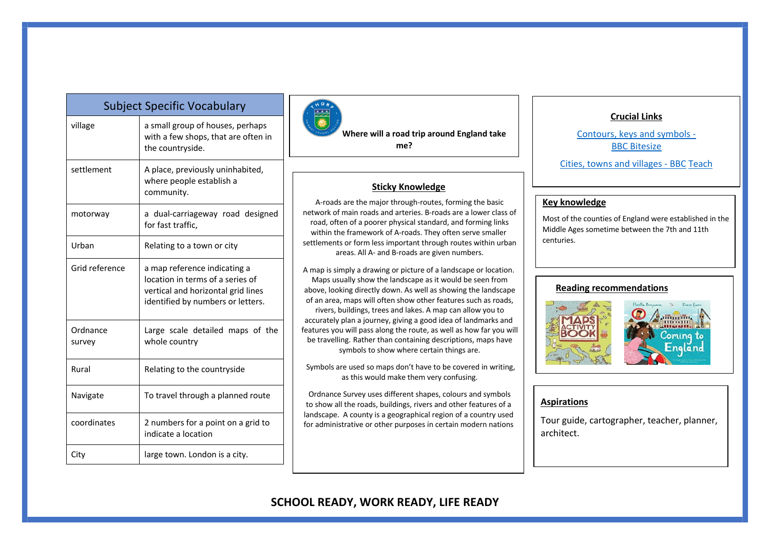| Sapject Specific Vocabalary |                                                                                                                                             |  |  |  |  |
|-----------------------------|---------------------------------------------------------------------------------------------------------------------------------------------|--|--|--|--|
| village                     | a small group of houses, perhaps<br>with a few shops, that are often in<br>the countryside.                                                 |  |  |  |  |
| settlement                  | A place, previously uninhabited,<br>where people establish a<br>community.                                                                  |  |  |  |  |
| motorway                    | a dual-carriageway road designed<br>for fast traffic.                                                                                       |  |  |  |  |
| Urban                       | Relating to a town or city                                                                                                                  |  |  |  |  |
| Grid reference              | a map reference indicating a<br>location in terms of a series of<br>vertical and horizontal grid lines<br>identified by numbers or letters. |  |  |  |  |
| Ordnance<br>survey          | Large scale detailed maps of the<br>whole country                                                                                           |  |  |  |  |
| Rural                       | Relating to the countryside                                                                                                                 |  |  |  |  |
| Navigate                    | To travel through a planned route                                                                                                           |  |  |  |  |
| coordinates                 | 2 numbers for a point on a grid to<br>indicate a location                                                                                   |  |  |  |  |
| City                        | large town. London is a city.                                                                                                               |  |  |  |  |

Subject Specific Vocabulary



**Where will a road trip around England take me?**

#### **Sticky Knowledge**

A-roads are the major through-routes, forming the basic network of main roads and arteries. B-roads are a lower class of road, often of a poorer physical standard, and forming links within the framework of A-roads. They often serve smaller settlements or form less important through routes within urban areas. All A- and B-roads are given numbers.

A map is simply a drawing or picture of a landscape or location. Maps usually show the landscape as it would be seen from above, looking directly down. As well as showing the landscape of an area, maps will often show other features such as roads, rivers, buildings, trees and lakes. A map can allow you to accurately plan a journey, giving a good idea of landmarks and features you will pass along the route, as well as how far you will be travelling. Rather than containing descriptions, maps have symbols to show where certain things are.

Symbols are used so maps don't have to be covered in writing, as this would make them very confusing.

Ordnance Survey uses different shapes, colours and symbols to show all the roads, buildings, rivers and other features of a landscape. A county is a geographical region of a country used for administrative or other purposes in certain modern nations

## **Crucial Links**

Contours, keys and symbols - BBC Bitesize

Cities, towns and villages - BBC Teach

## **Key knowledge**

Most of the counties of England were established in the Middle Ages sometime between the 7th and 11th centuries.

#### **Reading recommendations**



### **Aspirations**

Tour guide, cartographer, teacher, planner, architect.

# **SCHOOL READY, WORK READY, LIFE READY**